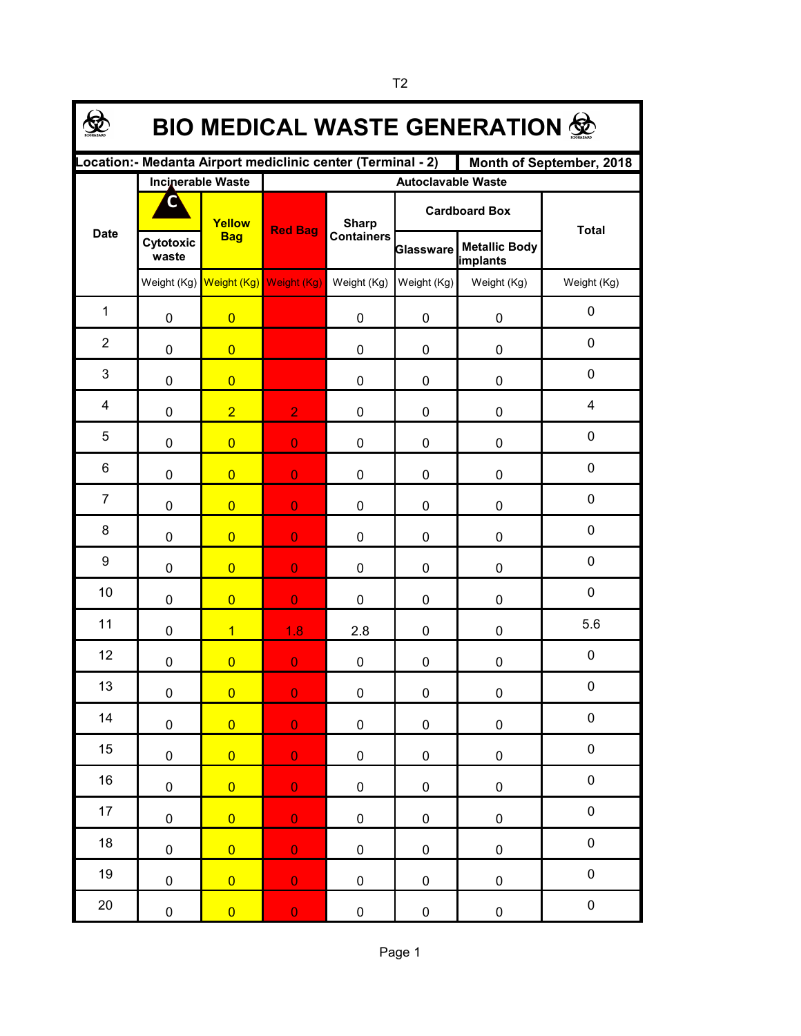| <b>BIO MEDICAL WASTE GENERATION ®</b>                                                    |                    |                                     |                           |                                   |                      |                                         |              |  |  |  |  |  |
|------------------------------------------------------------------------------------------|--------------------|-------------------------------------|---------------------------|-----------------------------------|----------------------|-----------------------------------------|--------------|--|--|--|--|--|
| Location: - Medanta Airport mediclinic center (Terminal - 2)<br>Month of September, 2018 |                    |                                     |                           |                                   |                      |                                         |              |  |  |  |  |  |
|                                                                                          |                    | <b>Incinerable Waste</b>            | <b>Autoclavable Waste</b> |                                   |                      |                                         |              |  |  |  |  |  |
| <b>Date</b>                                                                              |                    | Yellow<br><b>Bag</b>                | <b>Red Bag</b>            | <b>Sharp</b><br><b>Containers</b> | <b>Cardboard Box</b> |                                         | <b>Total</b> |  |  |  |  |  |
|                                                                                          | Cytotoxic<br>waste |                                     |                           |                                   | Glassware            | <b>Metallic Body</b><br><i>implants</i> |              |  |  |  |  |  |
|                                                                                          |                    | Weight (Kg) Weight (Kg) Weight (Kg) |                           | Weight (Kg)                       | Weight (Kg)          | Weight (Kg)                             | Weight (Kg)  |  |  |  |  |  |
| $\mathbf{1}$                                                                             | 0                  | $\overline{0}$                      |                           | 0                                 | 0                    | 0                                       | 0            |  |  |  |  |  |
| $\overline{2}$                                                                           | 0                  | $\overline{0}$                      |                           | 0                                 | 0                    | 0                                       | 0            |  |  |  |  |  |
| 3                                                                                        | 0                  | $\overline{0}$                      |                           | 0                                 | 0                    | 0                                       | 0            |  |  |  |  |  |
| 4                                                                                        | 0                  | $\overline{2}$                      | $\overline{2}$            | 0                                 | 0                    | 0                                       | 4            |  |  |  |  |  |
| 5                                                                                        | 0                  | $\overline{0}$                      | $\overline{O}$            | 0                                 | 0                    | 0                                       | 0            |  |  |  |  |  |
| 6                                                                                        | $\mathbf 0$        | $\overline{0}$                      | $\overline{0}$            | 0                                 | 0                    | 0                                       | 0            |  |  |  |  |  |
| $\overline{7}$                                                                           | 0                  | $\overline{0}$                      | $\overline{0}$            | 0                                 | 0                    | 0                                       | 0            |  |  |  |  |  |
| 8                                                                                        | 0                  | $\overline{0}$                      | $\overline{0}$            | 0                                 | 0                    | 0                                       | 0            |  |  |  |  |  |
| 9                                                                                        | 0                  | $\overline{0}$                      | $\overline{0}$            | 0                                 | 0                    | 0                                       | 0            |  |  |  |  |  |
| 10                                                                                       | $\mathbf 0$        | $\overline{0}$                      | $\overline{0}$            | $\mathbf 0$                       | 0                    | 0                                       | 0            |  |  |  |  |  |
| 11                                                                                       | 0                  | $\overline{1}$                      | 1.8                       | 2.8                               | 0                    | 0                                       | 5.6          |  |  |  |  |  |
| 12                                                                                       | 0                  | $\overline{0}$                      | $\overline{0}$            | 0                                 | 0                    | 0                                       | 0            |  |  |  |  |  |
| 13                                                                                       | 0                  | $\overline{0}$                      | $\overline{0}$            | 0                                 | 0                    | $\pmb{0}$                               | 0            |  |  |  |  |  |
| 14                                                                                       | $\pmb{0}$          | $\overline{0}$                      | $\overline{0}$            | $\pmb{0}$                         | $\pmb{0}$            | $\pmb{0}$                               | $\pmb{0}$    |  |  |  |  |  |
| 15                                                                                       | $\mathbf 0$        | $\overline{0}$                      | $\overline{0}$            | $\pmb{0}$                         | $\pmb{0}$            | $\pmb{0}$                               | $\pmb{0}$    |  |  |  |  |  |
| 16                                                                                       | $\pmb{0}$          | $\overline{0}$                      | $\mathbf 0$               | $\pmb{0}$                         | $\pmb{0}$            | $\pmb{0}$                               | $\pmb{0}$    |  |  |  |  |  |
| 17                                                                                       | $\pmb{0}$          | $\overline{0}$                      | $\mathbf 0$               | $\pmb{0}$                         | $\pmb{0}$            | $\pmb{0}$                               | $\pmb{0}$    |  |  |  |  |  |
| 18                                                                                       | $\pmb{0}$          | $\overline{0}$                      | $\mathbf 0$               | $\pmb{0}$                         | $\pmb{0}$            | $\pmb{0}$                               | $\pmb{0}$    |  |  |  |  |  |
| 19                                                                                       | $\pmb{0}$          | $\overline{0}$                      | $\mathbf 0$               | $\pmb{0}$                         | $\pmb{0}$            | $\pmb{0}$                               | $\pmb{0}$    |  |  |  |  |  |
| 20                                                                                       | $\pmb{0}$          | $\overline{0}$                      | $\mathbf 0$               | 0                                 | 0                    | $\pmb{0}$                               | $\pmb{0}$    |  |  |  |  |  |